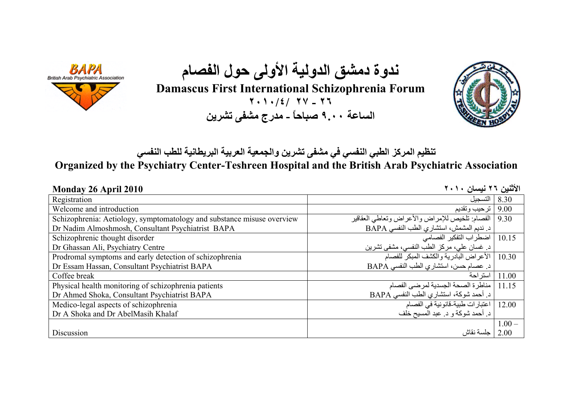

**ندوة دمشق الدولية الأولى حول الفصام**

**Damascus First International Schizophrenia Forum**

**٢٠١٠/٤/ ٢٧ - ٢٦ الساعة ٩.<sup>٠٠</sup> صباحاً - مدرج مشفى تشرين**



**تنظيم المرآز الطبي النفسي في مشفى تشرين والجمعية العربية البريطانية للطب النفسي**

**Organized by the Psychiatry Center-Teshreen Hospital and the British Arab Psychiatric Association** 

| Monday 26 April 2010                                                   | الأثنين ٢٦ نيسان ٢٠١٠                          |          |
|------------------------------------------------------------------------|------------------------------------------------|----------|
| Registration                                                           | التسجيل                                        | 8.30     |
| Welcome and introduction                                               | ترحيب وتقديم                                   | 9.00     |
| Schizophrenia: Aetiology, symptomatology and substance misuse overview | الفصام  تلخيص للإمراض والأعراض وتعاطى العقاقير | 9.30     |
| Dr Nadim Almoshmosh, Consultant Psychiatrist BAPA                      | د نديم المشمش، استشاري الطب النفسي BAPA        |          |
| Schizophrenic thought disorder                                         | 10.15   اضطراب التفكير الفصامي                 |          |
| Dr Ghassan Ali, Psychiatry Centre                                      | د غسان علي، مركز الطب النفسي، مشفى تشرين       |          |
| Prodromal symptoms and early detection of schizophrenia                | 10.30   الأعراض البادرية والكشف المبكر للفصام  |          |
| Dr Essam Hassan, Consultant Psychiatrist BAPA                          | د. عصام حسن، استشاري الطب النفسي BAPA          |          |
| Coffee break                                                           | استر احة                                       | 11.00    |
| Physical health monitoring of schizophrenia patients                   | مناطر ة الصحة الجسدية لمرضىي الفصام            | 11.15    |
| Dr Ahmed Shoka, Consultant Psychiatrist BAPA                           | د أحمد شوكة، استشاري الطب النفسي BAPA          |          |
| Medico-legal aspects of schizophrenia                                  | اعتبارات طبية-قانونية في الفصام                | 12.00    |
| Dr A Shoka and Dr AbelMasih Khalaf                                     | د أحمد شوكة و د عبد المسيح خلف                 |          |
|                                                                        |                                                | $1.00 -$ |
| Discussion                                                             | جلسة نقاش                                      | 2.00     |